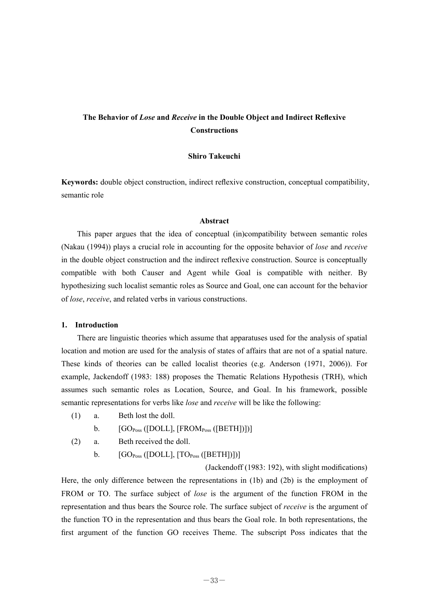# **The Behavior of** *Lose* **and** *Receive* **in the Double Object and Indirect Reflexive Constructions**

# **Shiro Takeuchi**

**Keywords:** double object construction, indirect reflexive construction, conceptual compatibility, semantic role

#### **Abstract**

 This paper argues that the idea of conceptual (in)compatibility between semantic roles (Nakau (1994)) plays a crucial role in accounting for the opposite behavior of *lose* and *receive* in the double object construction and the indirect reflexive construction. Source is conceptually compatible with both Causer and Agent while Goal is compatible with neither. By hypothesizing such localist semantic roles as Source and Goal, one can account for the behavior of *lose*, *receive*, and related verbs in various constructions.

#### **1. Introduction**

 There are linguistic theories which assume that apparatuses used for the analysis of spatial location and motion are used for the analysis of states of affairs that are not of a spatial nature. These kinds of theories can be called localist theories (e.g. Anderson (1971, 2006)). For example, Jackendoff (1983: 188) proposes the Thematic Relations Hypothesis (TRH), which assumes such semantic roles as Location, Source, and Goal. In his framework, possible semantic representations for verbs like *lose* and *receive* will be like the following:

(1) a. Beth lost the doll.

b.  $[GO<sub>Poss</sub>([DOLL], [FROM<sub>Poss</sub>([BETH])])]$ 

- (2) a. Beth received the doll.
	- b.  $[GO_{Poss}([DOLL], [TO_{Poss}([BETH])])]$

(Jackendoff (1983: 192), with slight modifications) Here, the only difference between the representations in (1b) and (2b) is the employment of FROM or TO. The surface subject of *lose* is the argument of the function FROM in the representation and thus bears the Source role. The surface subject of *receive* is the argument of the function TO in the representation and thus bears the Goal role. In both representations, the first argument of the function GO receives Theme. The subscript Poss indicates that the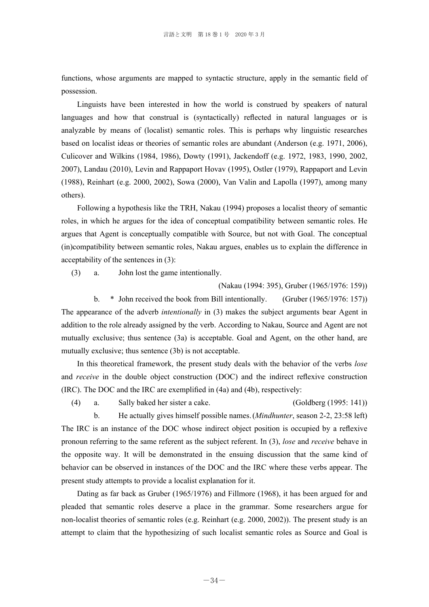functions, whose arguments are mapped to syntactic structure, apply in the semantic field of possession.

 Linguists have been interested in how the world is construed by speakers of natural languages and how that construal is (syntactically) reflected in natural languages or is analyzable by means of (localist) semantic roles. This is perhaps why linguistic researches based on localist ideas or theories of semantic roles are abundant (Anderson (e.g. 1971, 2006), Culicover and Wilkins (1984, 1986), Dowty (1991), Jackendoff (e.g. 1972, 1983, 1990, 2002, 2007), Landau (2010), Levin and Rappaport Hovav (1995), Ostler (1979), Rappaport and Levin (1988), Reinhart (e.g. 2000, 2002), Sowa (2000), Van Valin and Lapolla (1997), among many others).

 Following a hypothesis like the TRH, Nakau (1994) proposes a localist theory of semantic roles, in which he argues for the idea of conceptual compatibility between semantic roles. He argues that Agent is conceptually compatible with Source, but not with Goal. The conceptual (in)compatibility between semantic roles, Nakau argues, enables us to explain the difference in acceptability of the sentences in (3):

(3) a. John lost the game intentionally.

(Nakau (1994: 395), Gruber (1965/1976: 159))

 b. \* John received the book from Bill intentionally. (Gruber (1965/1976: 157)) The appearance of the adverb *intentionally* in (3) makes the subject arguments bear Agent in addition to the role already assigned by the verb. According to Nakau, Source and Agent are not mutually exclusive; thus sentence (3a) is acceptable. Goal and Agent, on the other hand, are mutually exclusive; thus sentence (3b) is not acceptable.

 In this theoretical framework, the present study deals with the behavior of the verbs *lose*  and *receive* in the double object construction (DOC) and the indirect reflexive construction (IRC). The DOC and the IRC are exemplified in (4a) and (4b), respectively:

 (4) a. Sally baked her sister a cake. (Goldberg (1995: 141)) b. He actually gives himself possible names. (*Mindhunter*, season 2-2, 23:58 left) The IRC is an instance of the DOC whose indirect object position is occupied by a reflexive pronoun referring to the same referent as the subject referent. In (3), *lose* and *receive* behave in the opposite way. It will be demonstrated in the ensuing discussion that the same kind of behavior can be observed in instances of the DOC and the IRC where these verbs appear. The present study attempts to provide a localist explanation for it.

 Dating as far back as Gruber (1965/1976) and Fillmore (1968), it has been argued for and pleaded that semantic roles deserve a place in the grammar. Some researchers argue for non-localist theories of semantic roles (e.g. Reinhart (e.g. 2000, 2002)). The present study is an attempt to claim that the hypothesizing of such localist semantic roles as Source and Goal is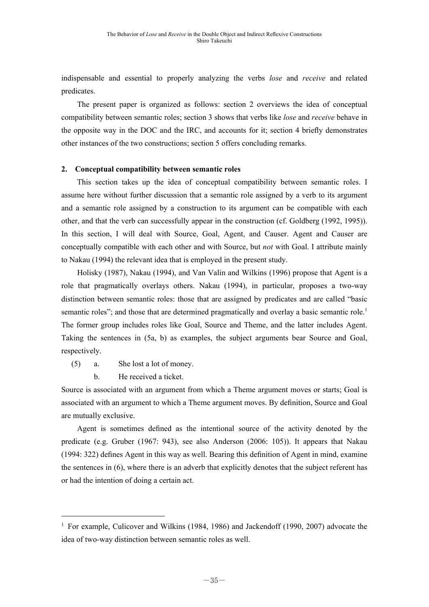indispensable and essential to properly analyzing the verbs *lose* and *receive* and related predicates.

 The present paper is organized as follows: section 2 overviews the idea of conceptual compatibility between semantic roles; section 3 shows that verbs like *lose* and *receive* behave in the opposite way in the DOC and the IRC, and accounts for it; section 4 briefly demonstrates other instances of the two constructions; section 5 offers concluding remarks.

# **2. Conceptual compatibility between semantic roles**

 This section takes up the idea of conceptual compatibility between semantic roles. I assume here without further discussion that a semantic role assigned by a verb to its argument and a semantic role assigned by a construction to its argument can be compatible with each other, and that the verb can successfully appear in the construction (cf. Goldberg (1992, 1995)). In this section, I will deal with Source, Goal, Agent, and Causer. Agent and Causer are conceptually compatible with each other and with Source, but *not* with Goal. I attribute mainly to Nakau (1994) the relevant idea that is employed in the present study.

 Holisky (1987), Nakau (1994), and Van Valin and Wilkins (1996) propose that Agent is a role that pragmatically overlays others. Nakau (1994), in particular, proposes a two-way distinction between semantic roles: those that are assigned by predicates and are called "basic semantic roles"; and those that are determined pragmatically and overlay a basic semantic role.<sup>1</sup> The former group includes roles like Goal, Source and Theme, and the latter includes Agent. Taking the sentences in (5a, b) as examples, the subject arguments bear Source and Goal, respectively.

- (5) a. She lost a lot of money.
	- b. He received a ticket.

Source is associated with an argument from which a Theme argument moves or starts; Goal is associated with an argument to which a Theme argument moves. By definition, Source and Goal are mutually exclusive.

Agent is sometimes defined as the intentional source of the activity denoted by the predicate (e.g. Gruber (1967: 943), see also Anderson (2006: 105)). It appears that Nakau (1994: 322) defines Agent in this way as well. Bearing this definition of Agent in mind, examine the sentences in (6), where there is an adverb that explicitly denotes that the subject referent has or had the intention of doing a certain act.

<sup>&</sup>lt;sup>1</sup> For example, Culicover and Wilkins (1984, 1986) and Jackendoff (1990, 2007) advocate the idea of two-way distinction between semantic roles as well.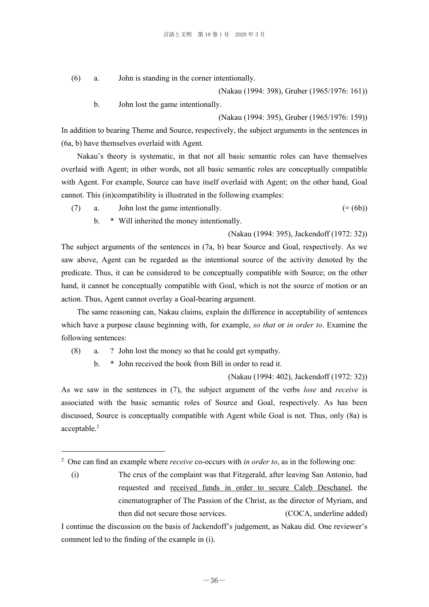(6) a. John is standing in the corner intentionally.

(Nakau (1994: 398), Gruber (1965/1976: 161))

b. John lost the game intentionally.

(Nakau (1994: 395), Gruber (1965/1976: 159))

In addition to bearing Theme and Source, respectively, the subject arguments in the sentences in (6a, b) have themselves overlaid with Agent.

 Nakau's theory is systematic, in that not all basic semantic roles can have themselves overlaid with Agent; in other words, not all basic semantic roles are conceptually compatible with Agent. For example, Source can have itself overlaid with Agent; on the other hand, Goal cannot. This (in)compatibility is illustrated in the following examples:

- (7) a. John lost the game intentionally.  $(=(6b))$ 
	- b. \* Will inherited the money intentionally.

(Nakau (1994: 395), Jackendoff (1972: 32))

The subject arguments of the sentences in (7a, b) bear Source and Goal, respectively. As we saw above, Agent can be regarded as the intentional source of the activity denoted by the predicate. Thus, it can be considered to be conceptually compatible with Source; on the other hand, it cannot be conceptually compatible with Goal, which is not the source of motion or an action. Thus, Agent cannot overlay a Goal-bearing argument.

 The same reasoning can, Nakau claims, explain the difference in acceptability of sentences which have a purpose clause beginning with, for example, *so that* or *in order to*. Examine the following sentences:

(8) a. ? John lost the money so that he could get sympathy.

b. \* John received the book from Bill in order to read it.

(Nakau (1994: 402), Jackendoff (1972: 32))

As we saw in the sentences in (7), the subject argument of the verbs *lose* and *receive* is associated with the basic semantic roles of Source and Goal, respectively. As has been discussed, Source is conceptually compatible with Agent while Goal is not. Thus, only (8a) is acceptable.<sup>2</sup>

 (i) The crux of the complaint was that Fitzgerald, after leaving San Antonio, had requested and received funds in order to secure Caleb Deschanel, the cinematographer of The Passion of the Christ, as the director of Myriam, and then did not secure those services. (COCA, underline added)

I continue the discussion on the basis of Jackendoff's judgement, as Nakau did. One reviewer's comment led to the finding of the example in (i).

<sup>2</sup> One can find an example where *receive* co-occurs with *in order to*, as in the following one: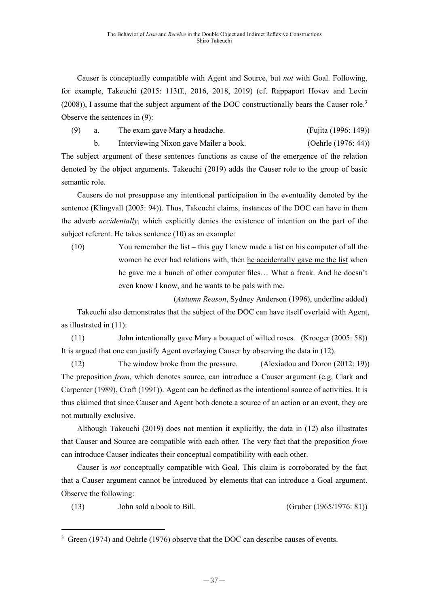Causer is conceptually compatible with Agent and Source, but *not* with Goal. Following, for example, Takeuchi (2015: 113ff., 2016, 2018, 2019) (cf. Rappaport Hovav and Levin (2008)), I assume that the subject argument of the DOC constructionally bears the Causer role.<sup>3</sup> Observe the sentences in (9):

(9) a. The exam gave Mary a headache. (Fujita (1996: 149))

b. Interviewing Nixon gave Mailer a book. (Oehrle (1976: 44))

The subject argument of these sentences functions as cause of the emergence of the relation denoted by the object arguments. Takeuchi (2019) adds the Causer role to the group of basic semantic role.

 Causers do not presuppose any intentional participation in the eventuality denoted by the sentence (Klingvall (2005: 94)). Thus, Takeuchi claims, instances of the DOC can have in them the adverb *accidentally*, which explicitly denies the existence of intention on the part of the subject referent. He takes sentence (10) as an example:

 (10) You remember the list – this guy I knew made a list on his computer of all the women he ever had relations with, then he accidentally gave me the list when he gave me a bunch of other computer files… What a freak. And he doesn't even know I know, and he wants to be pals with me.

 (*Autumn Reason*, Sydney Anderson (1996), underline added) Takeuchi also demonstrates that the subject of the DOC can have itself overlaid with Agent, as illustrated in (11):

 (11) John intentionally gave Mary a bouquet of wilted roses. (Kroeger (2005: 58)) It is argued that one can justify Agent overlaying Causer by observing the data in (12).

 (12) The window broke from the pressure. (Alexiadou and Doron (2012: 19)) The preposition *from*, which denotes source, can introduce a Causer argument (e.g. Clark and Carpenter (1989), Croft (1991)). Agent can be defined as the intentional source of activities. It is thus claimed that since Causer and Agent both denote a source of an action or an event, they are not mutually exclusive.

 Although Takeuchi (2019) does not mention it explicitly, the data in (12) also illustrates that Causer and Source are compatible with each other. The very fact that the preposition *from* can introduce Causer indicates their conceptual compatibility with each other.

 Causer is *not* conceptually compatible with Goal. This claim is corroborated by the fact that a Causer argument cannot be introduced by elements that can introduce a Goal argument. Observe the following:

(13) John sold a book to Bill. (Gruber (1965/1976: 81))

 $3 \text{ Green (1974)}$  and Oehrle (1976) observe that the DOC can describe causes of events.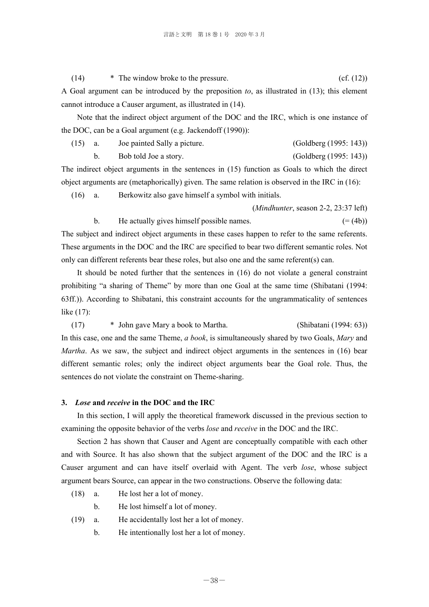$(14)$  \* The window broke to the pressure. (cf.  $(12)$ ) A Goal argument can be introduced by the preposition *to*, as illustrated in (13); this element cannot introduce a Causer argument, as illustrated in (14).

Note that the indirect object argument of the DOC and the IRC, which is one instance of the DOC, can be a Goal argument (e.g. Jackendoff (1990)):

 (15) a. Joe painted Sally a picture. (Goldberg (1995: 143)) b. Bob told Joe a story. (Goldberg (1995: 143))

The indirect object arguments in the sentences in (15) function as Goals to which the direct object arguments are (metaphorically) given. The same relation is observed in the IRC in (16):

(16) a. Berkowitz also gave himself a symbol with initials.

 (*Mindhunter*, season 2-2, 23:37 left) b. He actually gives himself possible names.  $(=(4b))$ The subject and indirect object arguments in these cases happen to refer to the same referents. These arguments in the DOC and the IRC are specified to bear two different semantic roles. Not

only can different referents bear these roles, but also one and the same referent(s) can.

It should be noted further that the sentences in (16) do not violate a general constraint prohibiting "a sharing of Theme" by more than one Goal at the same time (Shibatani (1994: 63ff.)). According to Shibatani, this constraint accounts for the ungrammaticality of sentences like (17):

 (17) \* John gave Mary a book to Martha. (Shibatani (1994: 63)) In this case, one and the same Theme, *a book*, is simultaneously shared by two Goals, *Mary* and *Martha*. As we saw, the subject and indirect object arguments in the sentences in (16) bear different semantic roles; only the indirect object arguments bear the Goal role. Thus, the sentences do not violate the constraint on Theme-sharing.

# **3.** *Lose* **and** *receive* **in the DOC and the IRC**

 In this section, I will apply the theoretical framework discussed in the previous section to examining the opposite behavior of the verbs *lose* and *receive* in the DOC and the IRC.

 Section 2 has shown that Causer and Agent are conceptually compatible with each other and with Source. It has also shown that the subject argument of the DOC and the IRC is a Causer argument and can have itself overlaid with Agent. The verb *lose*, whose subject argument bears Source, can appear in the two constructions. Observe the following data:

- (18) a. He lost her a lot of money.
	- b. He lost himself a lot of money.
- (19) a. He accidentally lost her a lot of money.
	- b. He intentionally lost her a lot of money.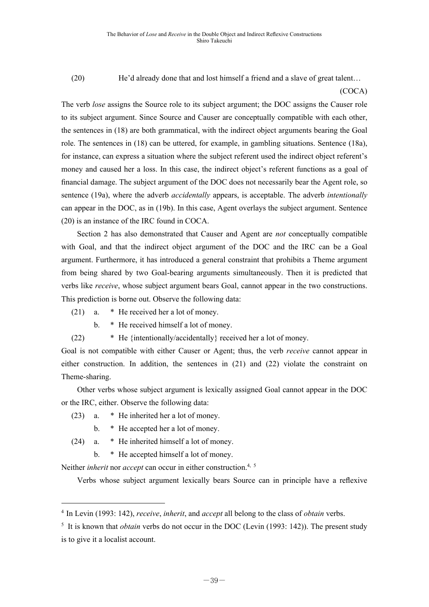(20) He'd already done that and lost himself a friend and a slave of great talent…

### (COCA)

The verb *lose* assigns the Source role to its subject argument; the DOC assigns the Causer role to its subject argument. Since Source and Causer are conceptually compatible with each other, the sentences in (18) are both grammatical, with the indirect object arguments bearing the Goal role. The sentences in (18) can be uttered, for example, in gambling situations. Sentence (18a), for instance, can express a situation where the subject referent used the indirect object referent's money and caused her a loss. In this case, the indirect object's referent functions as a goal of financial damage. The subject argument of the DOC does not necessarily bear the Agent role, so sentence (19a), where the adverb *accidentally* appears, is acceptable. The adverb *intentionally*  can appear in the DOC, as in (19b). In this case, Agent overlays the subject argument. Sentence (20) is an instance of the IRC found in COCA.

Section 2 has also demonstrated that Causer and Agent are *not* conceptually compatible with Goal, and that the indirect object argument of the DOC and the IRC can be a Goal argument. Furthermore, it has introduced a general constraint that prohibits a Theme argument from being shared by two Goal-bearing arguments simultaneously. Then it is predicted that verbs like *receive*, whose subject argument bears Goal, cannot appear in the two constructions. This prediction is borne out. Observe the following data:

(21) a. \* He received her a lot of money.

b. \* He received himself a lot of money.

(22)  $\ast$  He {intentionally/accidentally} received her a lot of money.

Goal is not compatible with either Causer or Agent; thus, the verb *receive* cannot appear in either construction. In addition, the sentences in (21) and (22) violate the constraint on Theme-sharing.

 Other verbs whose subject argument is lexically assigned Goal cannot appear in the DOC or the IRC, either. Observe the following data:

- (23) a. \* He inherited her a lot of money.
	- b. \* He accepted her a lot of money.

(24) a. \* He inherited himself a lot of money.

b. \* He accepted himself a lot of money.

Neither *inherit* nor *accept* can occur in either construction.4, 5

Verbs whose subject argument lexically bears Source can in principle have a reflexive

<sup>4</sup> In Levin (1993: 142), *receive*, *inherit*, and *accept* all belong to the class of *obtain* verbs.

<sup>&</sup>lt;sup>5</sup> It is known that *obtain* verbs do not occur in the DOC (Levin (1993: 142)). The present study is to give it a localist account.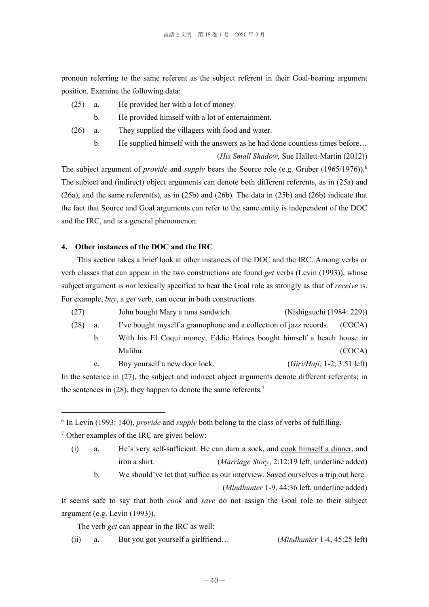pronoun referring to the same referent as the subject referent in their Goal-bearing argument position. Examine the following data:

- (25) a. He provided her with a lot of money.
	- b. He provided himself with a lot of entertainment.
- (26) a. They supplied the villagers with food and water.
	- b. He supplied himself with the answers as he had done countless times before…

(*His Small Shadow,* Sue Hallett-Martin (2012))

The subject argument of *provide* and *supply* bears the Source role (e.g. Gruber (1965/1976)).<sup>6</sup> The subject and (indirect) object arguments can denote both different referents, as in (25a) and (26a), and the same referent(s), as in (25b) and (26b). The data in (25b) and (26b) indicate that the fact that Source and Goal arguments can refer to the same entity is independent of the DOC and the IRC, and is a general phenomenon.

### **4. Other instances of the DOC and the IRC**

This section takes a brief look at other instances of the DOC and the IRC. Among verbs or verb classes that can appear in the two constructions are found *get* verbs (Levin (1993)), whose subject argument is *not* lexically specified to bear the Goal role as strongly as that of *receive* is. For example, *buy*, a *get* verb, can occur in both constructions.

- (27) John bought Mary a tuna sandwich. (Nishigauchi (1984: 229))
- (28) a. I've bought myself a gramophone and a collection of jazz records. (COCA)
	- b. With his El Coqui money, Eddie Haines bought himself a beach house in Malibu. (COCA)

c. Buy yourself a new door lock. (*Giri/Haji*, 1-2, 3:51 left)

In the sentence in (27), the subject and indirect object arguments denote different referents; in the sentences in  $(28)$ , they happen to denote the same referents.<sup>7</sup>

- (i) a. He's very self-sufficient. He can darn a sock, and cook himself a dinner, and iron a shirt. (*Marriage Story*, 2:12:19 left, underline added)
	- b. We should've let that suffice as our interview. Saved ourselves a trip out here.

(*Mindhunter* 1-9, 44:36 left, underline added)

It seems safe to say that both *cook* and *save* do not assign the Goal role to their subject argument (e.g. Levin (1993)).

The verb *get* can appear in the IRC as well:

(ii) a. But you got yourself a girlfriend… (*Mindhunter* 1-4, 45:25 left)

<sup>6</sup> In Levin (1993: 140), *provide* and *supply* both belong to the class of verbs of fulfilling.

 $7$  Other examples of the IRC are given below: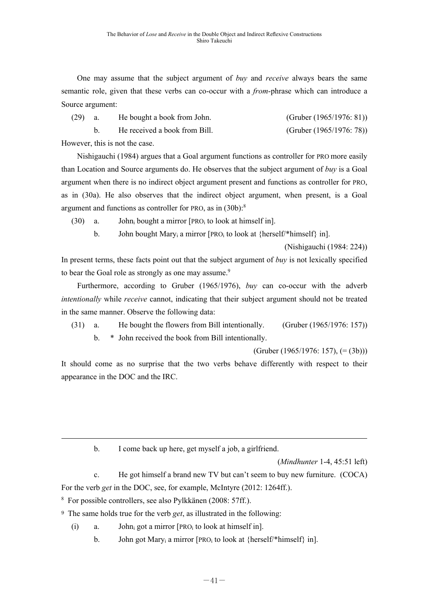One may assume that the subject argument of *buy* and *receive* always bears the same semantic role, given that these verbs can co-occur with a *from*-phrase which can introduce a Source argument:

| $(29)$ a.                    |  | He bought a book from John.   | (Gruber $(1965/1976: 81)$ ) |
|------------------------------|--|-------------------------------|-----------------------------|
|                              |  | He received a book from Bill. | (Gruber $(1965/1976: 78)$ ) |
| However this is not the case |  |                               |                             |

However, this is not the case.

Nishigauchi (1984) argues that a Goal argument functions as controller for PRO more easily than Location and Source arguments do. He observes that the subject argument of *buy* is a Goal argument when there is no indirect object argument present and functions as controller for PRO, as in (30a). He also observes that the indirect object argument, when present, is a Goal argument and functions as controller for PRO, as in (30b):<sup>8</sup>

(30) a. John<sub>i</sub> bought a mirror  $[PRO<sub>i</sub> to look at himself in].$ 

b. John bought Mary<sub>i</sub> a mirror [PRO<sub>i</sub> to look at {herself/\*himself} in].

(Nishigauchi (1984: 224))

In present terms, these facts point out that the subject argument of *buy* is not lexically specified to bear the Goal role as strongly as one may assume.<sup>9</sup>

 Furthermore, according to Gruber (1965/1976), *buy* can co-occur with the adverb *intentionally* while *receive* cannot, indicating that their subject argument should not be treated in the same manner. Observe the following data:

 (31) a. He bought the flowers from Bill intentionally. (Gruber (1965/1976: 157)) b. \* John received the book from Bill intentionally.

(Gruber (1965/1976: 157),  $(=(3b))$ )

It should come as no surprise that the two verbs behave differently with respect to their appearance in the DOC and the IRC.

b. I come back up here, get myself a job, a girlfriend.

(*Mindhunter* 1-4, 45:51 left)

 c. He got himself a brand new TV but can't seem to buy new furniture. (COCA) For the verb *get* in the DOC, see, for example, McIntyre (2012: 1264ff.).

8 For possible controllers, see also Pylkkänen (2008: 57ff.).

<sup>9</sup> The same holds true for the verb *get*, as illustrated in the following:

(i) a. John<sub>i</sub> got a mirror  $[PRO<sub>i</sub> to look at himself in].$ 

b. John got Mary<sub>i</sub> a mirror [PRO<sub>i</sub> to look at {herself/\*himself} in].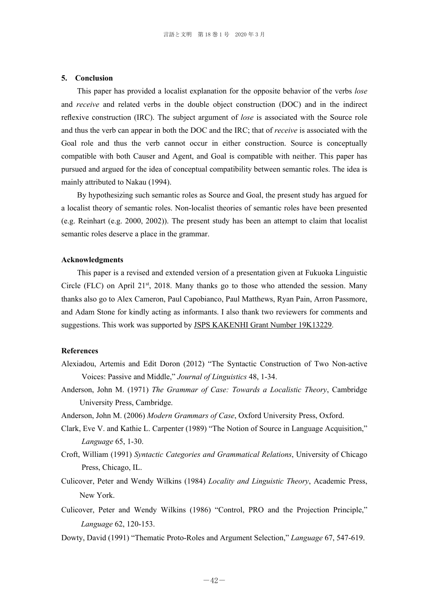#### **5. Conclusion**

 This paper has provided a localist explanation for the opposite behavior of the verbs *lose*  and *receive* and related verbs in the double object construction (DOC) and in the indirect reflexive construction (IRC). The subject argument of *lose* is associated with the Source role and thus the verb can appear in both the DOC and the IRC; that of *receive* is associated with the Goal role and thus the verb cannot occur in either construction. Source is conceptually compatible with both Causer and Agent, and Goal is compatible with neither. This paper has pursued and argued for the idea of conceptual compatibility between semantic roles. The idea is mainly attributed to Nakau (1994).

 By hypothesizing such semantic roles as Source and Goal, the present study has argued for a localist theory of semantic roles. Non-localist theories of semantic roles have been presented (e.g. Reinhart (e.g. 2000, 2002)). The present study has been an attempt to claim that localist semantic roles deserve a place in the grammar.

#### **Acknowledgments**

 This paper is a revised and extended version of a presentation given at Fukuoka Linguistic Circle (FLC) on April 21<sup>st</sup>, 2018. Many thanks go to those who attended the session. Many thanks also go to Alex Cameron, Paul Capobianco, Paul Matthews, Ryan Pain, Arron Passmore, and Adam Stone for kindly acting as informants. I also thank two reviewers for comments and suggestions. This work was supported by JSPS KAKENHI Grant Number 19K13229.

### **References**

- Alexiadou, Artemis and Edit Doron (2012) "The Syntactic Construction of Two Non-active Voices: Passive and Middle," *Journal of Linguistics* 48, 1-34.
- Anderson, John M. (1971) *The Grammar of Case: Towards a Localistic Theory*, Cambridge University Press, Cambridge.
- Anderson, John M. (2006) *Modern Grammars of Case*, Oxford University Press, Oxford.
- Clark, Eve V. and Kathie L. Carpenter (1989) "The Notion of Source in Language Acquisition," *Language* 65, 1-30.
- Croft, William (1991) *Syntactic Categories and Grammatical Relations*, University of Chicago Press, Chicago, IL.
- Culicover, Peter and Wendy Wilkins (1984) *Locality and Linguistic Theory*, Academic Press, New York.
- Culicover, Peter and Wendy Wilkins (1986) "Control, PRO and the Projection Principle," *Language* 62, 120-153.
- Dowty, David (1991) "Thematic Proto-Roles and Argument Selection," *Language* 67, 547-619.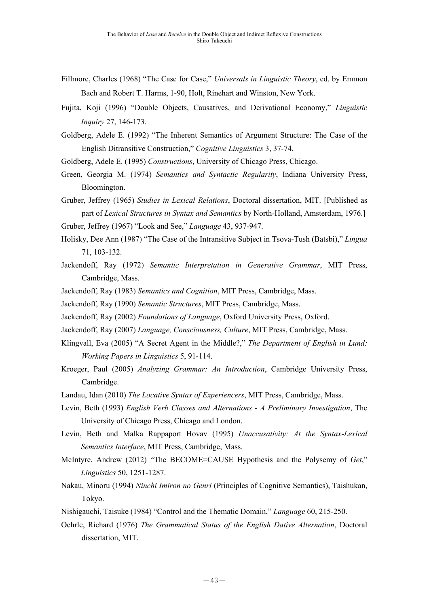- Fillmore, Charles (1968) "The Case for Case," *Universals in Linguistic Theory*, ed. by Emmon Bach and Robert T. Harms, 1-90, Holt, Rinehart and Winston, New York.
- Fujita, Koji (1996) "Double Objects, Causatives, and Derivational Economy," *Linguistic Inquiry* 27, 146-173.
- Goldberg, Adele E. (1992) "The Inherent Semantics of Argument Structure: The Case of the English Ditransitive Construction," *Cognitive Linguistics* 3, 37-74.
- Goldberg, Adele E. (1995) *Constructions*, University of Chicago Press, Chicago.
- Green, Georgia M. (1974) *Semantics and Syntactic Regularity*, Indiana University Press, Bloomington.
- Gruber, Jeffrey (1965) *Studies in Lexical Relations*, Doctoral dissertation, MIT. [Published as part of *Lexical Structures in Syntax and Semantics* by North-Holland, Amsterdam, 1976.] Gruber, Jeffrey (1967) "Look and See," *Language* 43, 937-947.
- Holisky, Dee Ann (1987) "The Case of the Intransitive Subject in Tsova-Tush (Batsbi)," *Lingua* 71, 103-132.
- Jackendoff, Ray (1972) *Semantic Interpretation in Generative Grammar*, MIT Press, Cambridge, Mass.
- Jackendoff, Ray (1983) *Semantics and Cognition*, MIT Press, Cambridge, Mass.
- Jackendoff, Ray (1990) *Semantic Structures*, MIT Press, Cambridge, Mass.
- Jackendoff, Ray (2002) *Foundations of Language*, Oxford University Press, Oxford.
- Jackendoff, Ray (2007) *Language, Consciousness, Culture*, MIT Press, Cambridge, Mass.
- Klingvall, Eva (2005) "A Secret Agent in the Middle?," *The Department of English in Lund: Working Papers in Linguistics* 5, 91-114.
- Kroeger, Paul (2005) *Analyzing Grammar: An Introduction*, Cambridge University Press, Cambridge.
- Landau, Idan (2010) *The Locative Syntax of Experiencers*, MIT Press, Cambridge, Mass.
- Levin, Beth (1993) *English Verb Classes and Alternations A Preliminary Investigation*, The University of Chicago Press, Chicago and London.
- Levin, Beth and Malka Rappaport Hovav (1995) *Unaccusativity: At the Syntax-Lexical Semantics Interface*, MIT Press, Cambridge, Mass.
- McIntyre, Andrew (2012) "The BECOME=CAUSE Hypothesis and the Polysemy of *Get*," *Linguistics* 50, 1251-1287.
- Nakau, Minoru (1994) *Ninchi Imiron no Genri* (Principles of Cognitive Semantics), Taishukan, Tokyo.
- Nishigauchi, Taisuke (1984) "Control and the Thematic Domain," *Language* 60, 215-250.
- Oehrle, Richard (1976) *The Grammatical Status of the English Dative Alternation*, Doctoral dissertation, MIT.